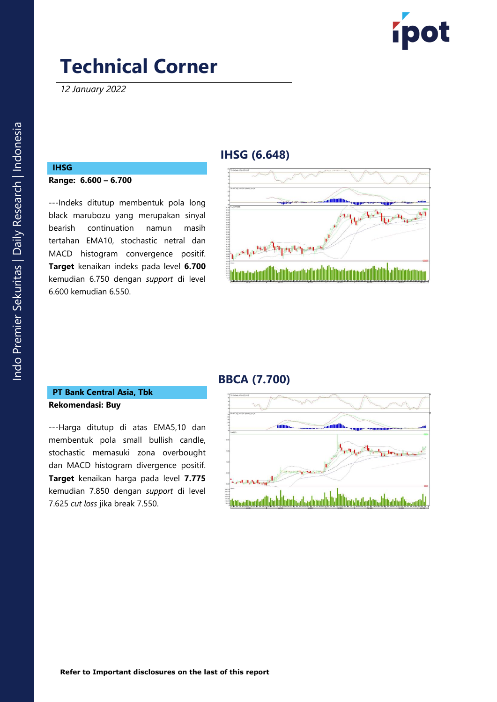

*12 January 2022*

# **IHSG (6.648)**

#### **IHSG Range: 6.600 – 6.700**

---Indeks ditutup membentuk pola long black marubozu yang merupakan sinyal bearish continuation namun masih tertahan EMA10, stochastic netral dan MACD histogram convergence positif. **Target** kenaikan indeks pada level **6.700** kemudian 6.750 dengan *support* di level 6.600 kemudian 6.550.



# **BBCA (7.700)**

### **PT Bank Central Asia, Tbk Rekomendasi: Buy**

---Harga ditutup di atas EMA5,10 dan membentuk pola small bullish candle, stochastic memasuki zona overbought dan MACD histogram divergence positif. **Target** kenaikan harga pada level **7.775** kemudian 7.850 dengan *support* di level 7.625 *cut loss* jika break 7.550.

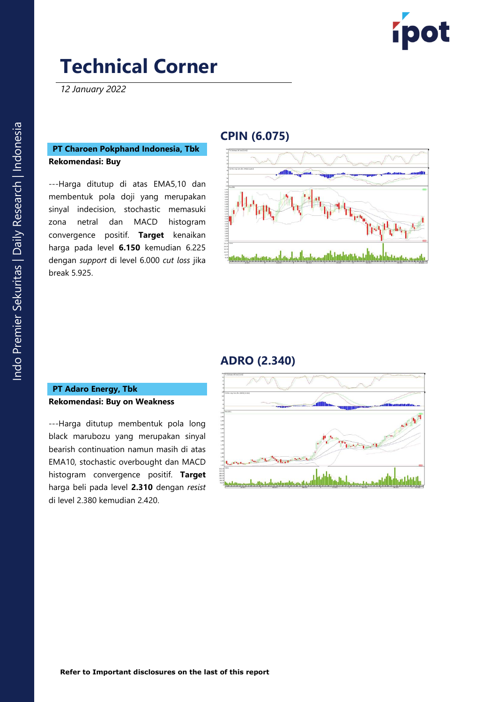

*12 January 2022*

### **PT Charoen Pokphand Indonesia, Tbk Rekomendasi: Buy**

---Harga ditutup di atas EMA5,10 dan membentuk pola doji yang merupakan sinyal indecision, stochastic memasuki zona netral dan MACD histogram convergence positif. **Target** kenaikan harga pada level **6.150** kemudian 6.225 dengan *support* di level 6.000 *cut loss* jika break 5.925.

# **CPIN (6.075)**



### **ADRO (2.340)**

#### **PT Adaro Energy, Tbk Rekomendasi: Buy on Weakness**

---Harga ditutup membentuk pola long black marubozu yang merupakan sinyal bearish continuation namun masih di atas EMA10, stochastic overbought dan MACD histogram convergence positif. **Target**  harga beli pada level **2.310** dengan *resist*  di level 2.380 kemudian 2.420.

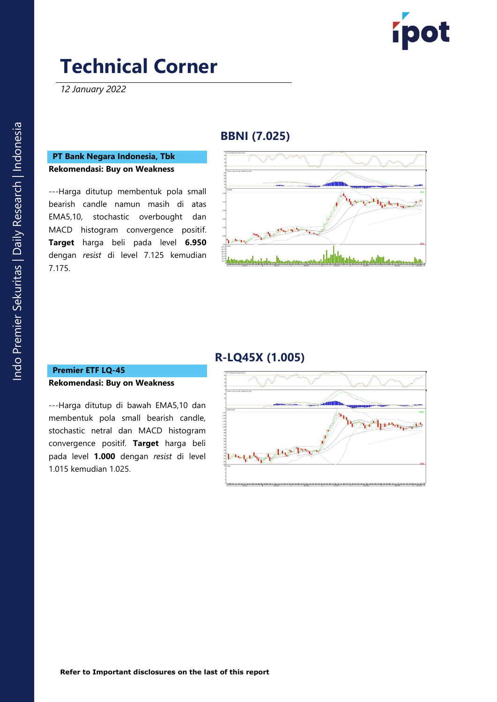

*12 January 2022*

## **BBNI (7.025)**

### **PT Bank Negara Indonesia, Tbk Rekomendasi: Buy on Weakness**

---Harga ditutup membentuk pola small bearish candle namun masih di atas EMA5,10, stochastic overbought dan MACD histogram convergence positif. **Target** harga beli pada level **6.950** dengan *resist* di level 7.125 kemudian 7.175.



# **R-LQ45X (1.005)**

### **Premier ETF LQ-45 Rekomendasi: Buy on Weakness**

---Harga ditutup di bawah EMA5,10 dan membentuk pola small bearish candle, stochastic netral dan MACD histogram convergence positif. **Target** harga beli pada level **1.000** dengan *resist* di level 1.015 kemudian 1.025.

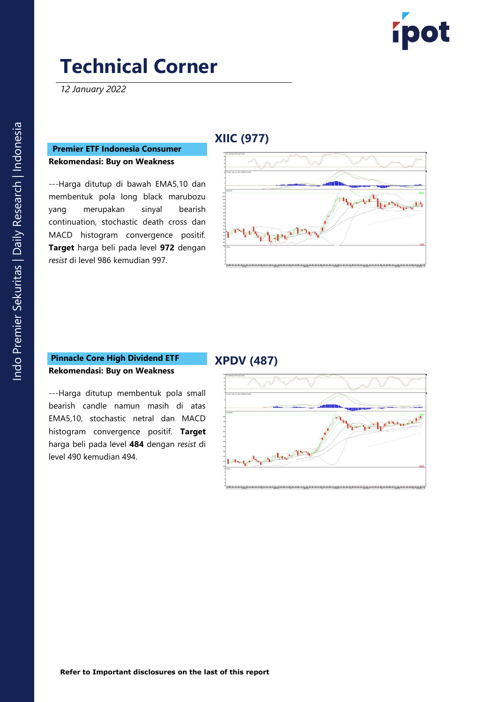

*12 January 2022*

# **XIIC (977)**

### **Premier ETF Indonesia Consumer Rekomendasi: Buy on Weakness**

---Harga ditutup di bawah EMA5,10 dan membentuk pola long black marubozu yang merupakan sinyal bearish continuation, stochastic death cross dan MACD histogram convergence positif. **Target** harga beli pada level **972** dengan *resist* di level 986 kemudian 997.

| 25 TA2HIK, Avg. Conv. (Rtv. (MAGE) [12.24.10] |  |  |  |
|-----------------------------------------------|--|--|--|
|                                               |  |  |  |
| <b>PVETOE</b>                                 |  |  |  |
|                                               |  |  |  |
|                                               |  |  |  |
|                                               |  |  |  |
|                                               |  |  |  |
|                                               |  |  |  |
|                                               |  |  |  |
|                                               |  |  |  |
|                                               |  |  |  |
|                                               |  |  |  |
| $\frac{mg}{1000}$                             |  |  |  |

#### **Pinnacle Core High Dividend ETF Rekomendasi: Buy on Weakness**

level 490 kemudian 494.

## **XPDV (487)**